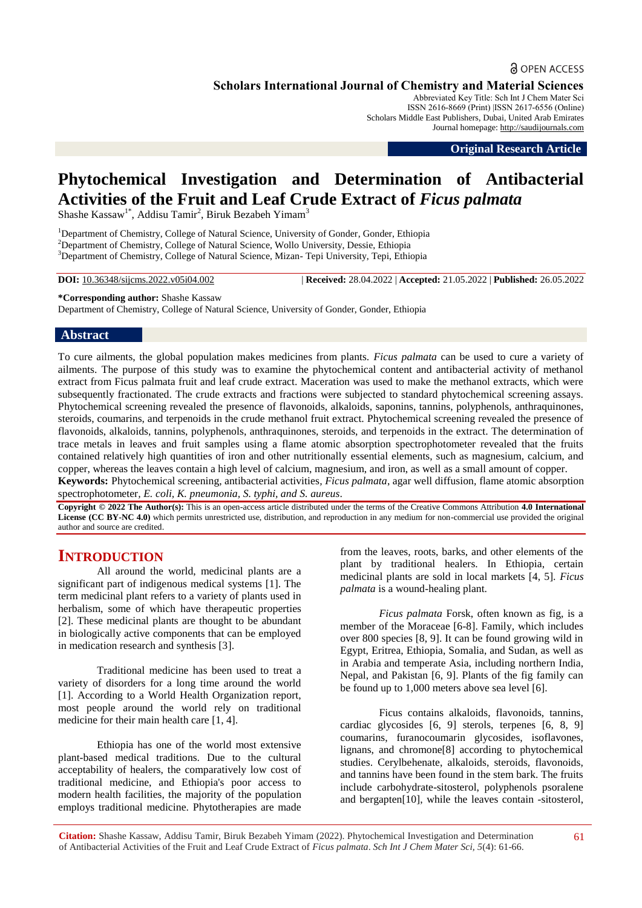# **a** OPEN ACCESS

**Scholars International Journal of Chemistry and Material Sciences**

Abbreviated Key Title: Sch Int J Chem Mater Sci ISSN 2616-8669 (Print) |ISSN 2617-6556 (Online) Scholars Middle East Publishers, Dubai, United Arab Emirates Journal homepage: [http://saudijournals.com](http://saudijournals.com/sijcms/)

**Original Research Article**

# **Phytochemical Investigation and Determination of Antibacterial Activities of the Fruit and Leaf Crude Extract of** *Ficus palmata*

Shashe Kassaw<sup>1\*</sup>, Addisu Tamir<sup>2</sup>, Biruk Bezabeh Yimam<sup>3</sup>

<sup>1</sup>Department of Chemistry, College of Natural Science, University of Gonder, Gonder, Ethiopia <sup>2</sup>Department of Chemistry, College of Natural Science, Wollo University, Dessie, Ethiopia <sup>3</sup>Department of Chemistry, College of Natural Science, Mizan- Tepi University, Tepi, Ethiopia

**DOI:** 10.36348/sijcms.2022.v05i04.002 | **Received:** 28.04.2022 | **Accepted:** 21.05.2022 | **Published:** 26.05.2022

**\*Corresponding author:** Shashe Kassaw

Department of Chemistry, College of Natural Science, University of Gonder, Gonder, Ethiopia

#### **Abstract**

To cure ailments, the global population makes medicines from plants. *Ficus palmata* can be used to cure a variety of ailments. The purpose of this study was to examine the phytochemical content and antibacterial activity of methanol extract from Ficus palmata fruit and leaf crude extract. Maceration was used to make the methanol extracts, which were subsequently fractionated. The crude extracts and fractions were subjected to standard phytochemical screening assays. Phytochemical screening revealed the presence of flavonoids, alkaloids, saponins, tannins, polyphenols, anthraquinones, steroids, coumarins, and terpenoids in the crude methanol fruit extract. Phytochemical screening revealed the presence of flavonoids, alkaloids, tannins, polyphenols, anthraquinones, steroids, and terpenoids in the extract. The determination of trace metals in leaves and fruit samples using a flame atomic absorption spectrophotometer revealed that the fruits contained relatively high quantities of iron and other nutritionally essential elements, such as magnesium, calcium, and copper, whereas the leaves contain a high level of calcium, magnesium, and iron, as well as a small amount of copper.

**Keywords:** Phytochemical screening, antibacterial activities*, Ficus palmata*, agar well diffusion*,* flame atomic absorption spectrophotometer*, E. coli, K. pneumonia, S. typhi, and S. aureus*.

**Copyright © 2022 The Author(s):** This is an open-access article distributed under the terms of the Creative Commons Attribution **4.0 International License (CC BY-NC 4.0)** which permits unrestricted use, distribution, and reproduction in any medium for non-commercial use provided the original author and source are credited.

# **INTRODUCTION**

All around the world, medicinal plants are a significant part of indigenous medical systems [1]. The term medicinal plant refers to a variety of plants used in herbalism, some of which have therapeutic properties [2]. These medicinal plants are thought to be abundant in biologically active components that can be employed in medication research and synthesis [3].

Traditional medicine has been used to treat a variety of disorders for a long time around the world [1]. According to a World Health Organization report, most people around the world rely on traditional medicine for their main health care [1, 4].

Ethiopia has one of the world most extensive plant-based medical traditions. Due to the cultural acceptability of healers, the comparatively low cost of traditional medicine, and Ethiopia's poor access to modern health facilities, the majority of the population employs traditional medicine. Phytotherapies are made

from the leaves, roots, barks, and other elements of the plant by traditional healers. In Ethiopia, certain medicinal plants are sold in local markets [4, 5]. *Ficus palmata* is a wound-healing plant.

*Ficus palmata* Forsk, often known as fig, is a member of the Moraceae [6-8]. Family, which includes over 800 species [8, 9]. It can be found growing wild in Egypt, Eritrea, Ethiopia, Somalia, and Sudan, as well as in Arabia and temperate Asia, including northern India, Nepal, and Pakistan [6, 9]. Plants of the fig family can be found up to 1,000 meters above sea level [6].

Ficus contains alkaloids, flavonoids, tannins, cardiac glycosides [6, 9] sterols, terpenes [6, 8, 9] coumarins, furanocoumarin glycosides, isoflavones, lignans, and chromone[8] according to phytochemical studies. Cerylbehenate, alkaloids, steroids, flavonoids, and tannins have been found in the stem bark. The fruits include carbohydrate-sitosterol, polyphenols psoralene and bergapten[10], while the leaves contain -sitosterol,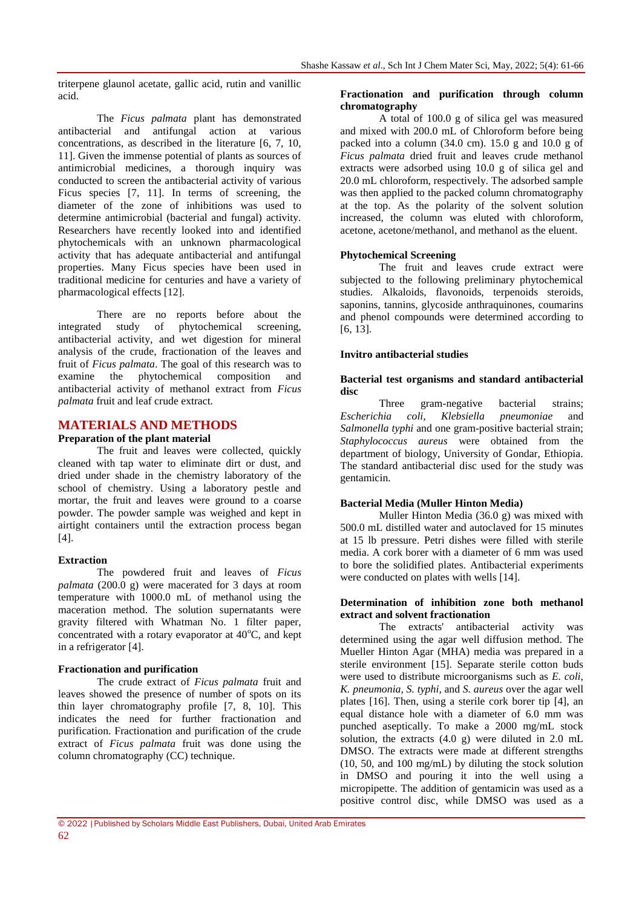triterpene glaunol acetate, gallic acid, rutin and vanillic acid.

The *Ficus palmata* plant has demonstrated antibacterial and antifungal action at various concentrations, as described in the literature [6, 7, 10, 11]. Given the immense potential of plants as sources of antimicrobial medicines, a thorough inquiry was conducted to screen the antibacterial activity of various Ficus species [7, 11]. In terms of screening, the diameter of the zone of inhibitions was used to determine antimicrobial (bacterial and fungal) activity. Researchers have recently looked into and identified phytochemicals with an unknown pharmacological activity that has adequate antibacterial and antifungal properties. Many Ficus species have been used in traditional medicine for centuries and have a variety of pharmacological effects [12].

There are no reports before about the<br>d study of phytochemical screening, integrated study of phytochemical screening, antibacterial activity, and wet digestion for mineral analysis of the crude, fractionation of the leaves and fruit of *Ficus palmata*. The goal of this research was to examine the phytochemical composition and the phytochemical composition and antibacterial activity of methanol extract from *Ficus palmata* fruit and leaf crude extract.

#### **MATERIALS AND METHODS**

#### **Preparation of the plant material**

The fruit and leaves were collected, quickly cleaned with tap water to eliminate dirt or dust, and dried under shade in the chemistry laboratory of the school of chemistry. Using a laboratory pestle and mortar, the fruit and leaves were ground to a coarse powder. The powder sample was weighed and kept in airtight containers until the extraction process began [4].

#### **Extraction**

The powdered fruit and leaves of *Ficus palmata* (200.0 g) were macerated for 3 days at room temperature with 1000.0 mL of methanol using the maceration method. The solution supernatants were gravity filtered with Whatman No. 1 filter paper, concentrated with a rotary evaporator at  $40^{\circ}$ C, and kept in a refrigerator [4].

#### **Fractionation and purification**

The crude extract of *Ficus palmata* fruit and leaves showed the presence of number of spots on its thin layer chromatography profile [7, 8, 10]. This indicates the need for further fractionation and purification. Fractionation and purification of the crude extract of *Ficus palmata* fruit was done using the column chromatography (CC) technique.

#### **Fractionation and purification through column chromatography**

A total of 100.0 g of silica gel was measured and mixed with 200.0 mL of Chloroform before being packed into a column (34.0 cm). 15.0 g and 10.0 g of *Ficus palmata* dried fruit and leaves crude methanol extracts were adsorbed using 10.0 g of silica gel and 20.0 mL chloroform, respectively. The adsorbed sample was then applied to the packed column chromatography at the top. As the polarity of the solvent solution increased, the column was eluted with chloroform, acetone, acetone/methanol, and methanol as the eluent.

### **Phytochemical Screening**

The fruit and leaves crude extract were subjected to the following preliminary phytochemical studies. Alkaloids, flavonoids, terpenoids steroids, saponins, tannins, glycoside anthraquinones, coumarins and phenol compounds were determined according to [6, 13].

#### **Invitro antibacterial studies**

#### **Bacterial test organisms and standard antibacterial disc**

Three gram-negative bacterial strains; *Escherichia coli, Klebsiella pneumoniae* and *Salmonella typhi* and one gram-positive bacterial strain; *Staphylococcus aureus* were obtained from the department of biology, University of Gondar, Ethiopia. The standard antibacterial disc used for the study was gentamicin.

#### **Bacterial Media (Muller Hinton Media)**

Muller Hinton Media (36.0 g) was mixed with 500.0 mL distilled water and autoclaved for 15 minutes at 15 lb pressure. Petri dishes were filled with sterile media. A cork borer with a diameter of 6 mm was used to bore the solidified plates. Antibacterial experiments were conducted on plates with wells [14].

#### **Determination of inhibition zone both methanol extract and solvent fractionation**

The extracts' antibacterial activity was determined using the agar well diffusion method. The Mueller Hinton Agar (MHA) media was prepared in a sterile environment [15]. Separate sterile cotton buds were used to distribute microorganisms such as *E. coli, K. pneumonia, S. typhi,* and *S. aureus* over the agar well plates [16]. Then, using a sterile cork borer tip [4], an equal distance hole with a diameter of 6.0 mm was punched aseptically. To make a 2000 mg/mL stock solution, the extracts  $(4.0 \text{ g})$  were diluted in 2.0 mL DMSO. The extracts were made at different strengths (10, 50, and 100 mg/mL) by diluting the stock solution in DMSO and pouring it into the well using a micropipette. The addition of gentamicin was used as a positive control disc, while DMSO was used as a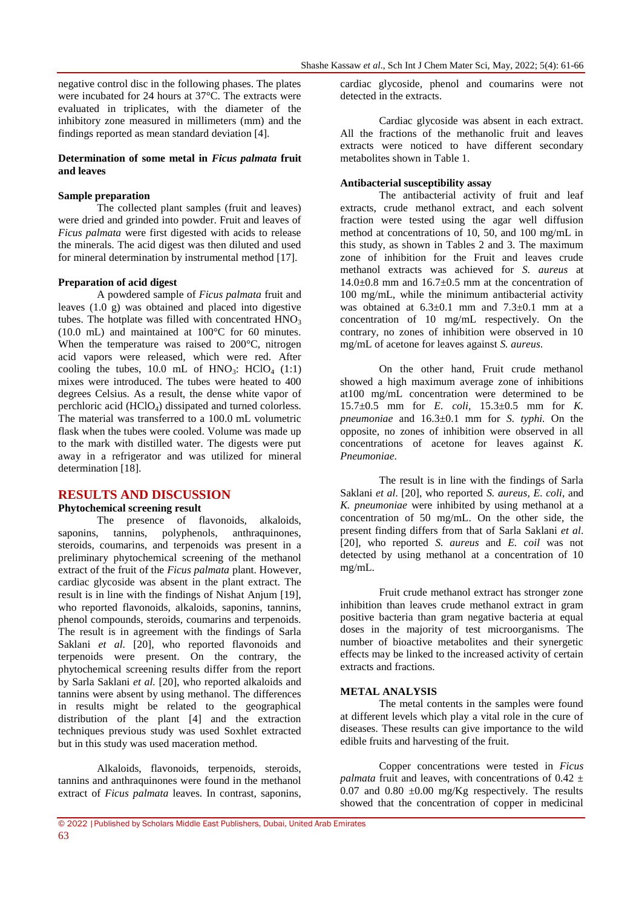negative control disc in the following phases. The plates were incubated for 24 hours at 37°C. The extracts were evaluated in triplicates, with the diameter of the inhibitory zone measured in millimeters (mm) and the findings reported as mean standard deviation [4].

### **Determination of some metal in** *Ficus palmata* **fruit and leaves**

#### **Sample preparation**

The collected plant samples (fruit and leaves) were dried and grinded into powder. Fruit and leaves of *Ficus palmata* were first digested with acids to release the minerals. The acid digest was then diluted and used for mineral determination by instrumental method [17].

#### **Preparation of acid digest**

A powdered sample of *Ficus palmata* fruit and leaves (1.0 g) was obtained and placed into digestive tubes. The hotplate was filled with concentrated  $HNO<sub>3</sub>$ (10.0 mL) and maintained at 100°C for 60 minutes. When the temperature was raised to 200°C, nitrogen acid vapors were released, which were red. After cooling the tubes, 10.0 mL of  $HNO_3$ :  $HClO<sub>4</sub>$  (1:1) mixes were introduced. The tubes were heated to 400 degrees Celsius. As a result, the dense white vapor of perchloric acid (HClO4) dissipated and turned colorless. The material was transferred to a 100.0 mL volumetric flask when the tubes were cooled. Volume was made up to the mark with distilled water. The digests were put away in a refrigerator and was utilized for mineral determination [18].

#### **RESULTS AND DISCUSSION**

#### **Phytochemical screening result**

The presence of flavonoids, alkaloids, saponins, tannins, polyphenols, anthraquinones, steroids, coumarins, and terpenoids was present in a preliminary phytochemical screening of the methanol extract of the fruit of the *Ficus palmata* plant. However, cardiac glycoside was absent in the plant extract. The result is in line with the findings of Nishat Anjum [19], who reported flavonoids, alkaloids, saponins, tannins, phenol compounds, steroids, coumarins and terpenoids. The result is in agreement with the findings of Sarla Saklani *et al.* [20], who reported flavonoids and terpenoids were present. On the contrary, the phytochemical screening results differ from the report by Sarla Saklani *et al.* [20], who reported alkaloids and tannins were absent by using methanol. The differences in results might be related to the geographical distribution of the plant [4] and the extraction techniques previous study was used Soxhlet extracted but in this study was used maceration method.

Alkaloids, flavonoids, terpenoids, steroids, tannins and anthraquinones were found in the methanol extract of *Ficus palmata* leaves. In contrast, saponins, cardiac glycoside, phenol and coumarins were not detected in the extracts.

Cardiac glycoside was absent in each extract. All the fractions of the methanolic fruit and leaves extracts were noticed to have different secondary metabolites shown in Table 1.

#### **Antibacterial susceptibility assay**

The antibacterial activity of fruit and leaf extracts, crude methanol extract, and each solvent fraction were tested using the agar well diffusion method at concentrations of 10, 50, and 100 mg/mL in this study, as shown in Tables 2 and 3. The maximum zone of inhibition for the Fruit and leaves crude methanol extracts was achieved for *S. aureus* at  $14.0+0.8$  mm and  $16.7+0.5$  mm at the concentration of 100 mg/mL, while the minimum antibacterial activity was obtained at 6.3±0.1 mm and 7.3±0.1 mm at a concentration of 10 mg/mL respectively. On the contrary, no zones of inhibition were observed in 10 mg/mL of acetone for leaves against *S. aureus*.

On the other hand, Fruit crude methanol showed a high maximum average zone of inhibitions at100 mg/mL concentration were determined to be 15.7±0.5 mm for *E. coli,* 15.3±0.5 mm for *K. pneumoniae* and 16.3±0.1 mm for *S. typhi.* On the opposite, no zones of inhibition were observed in all concentrations of acetone for leaves against *K. Pneumoniae*.

The result is in line with the findings of Sarla Saklani *et al*. [20], who reported *S. aureus, E. coli,* and *K. pneumoniae* were inhibited by using methanol at a concentration of 50 mg/mL. On the other side, the present finding differs from that of Sarla Saklani *et al*. [20], who reported *S. aureus* and *E. coil* was not detected by using methanol at a concentration of 10 mg/mL.

Fruit crude methanol extract has stronger zone inhibition than leaves crude methanol extract in gram positive bacteria than gram negative bacteria at equal doses in the majority of test microorganisms. The number of bioactive metabolites and their synergetic effects may be linked to the increased activity of certain extracts and fractions.

#### **METAL ANALYSIS**

The metal contents in the samples were found at different levels which play a vital role in the cure of diseases. These results can give importance to the wild edible fruits and harvesting of the fruit.

Copper concentrations were tested in *Ficus palmata* fruit and leaves, with concentrations of  $0.42 \pm$ 0.07 and 0.80  $\pm$ 0.00 mg/Kg respectively. The results showed that the concentration of copper in medicinal

<sup>© 2022</sup> |Published by Scholars Middle East Publishers, Dubai, United Arab Emirates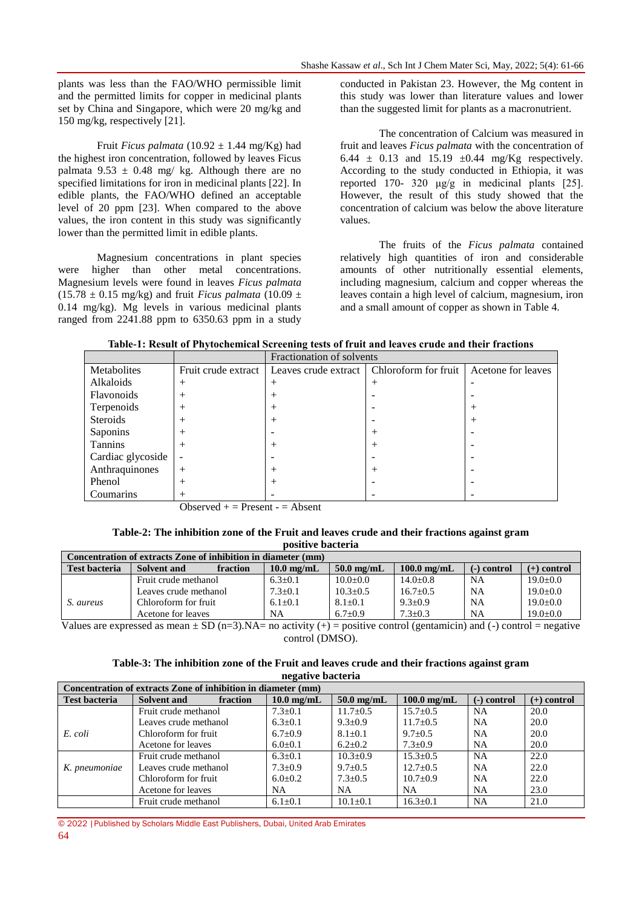plants was less than the FAO/WHO permissible limit and the permitted limits for copper in medicinal plants set by China and Singapore, which were 20 mg/kg and 150 mg/kg, respectively [21].

Fruit *Ficus palmata* (10.92  $\pm$  1.44 mg/Kg) had the highest iron concentration, followed by leaves Ficus palmata 9.53  $\pm$  0.48 mg/ kg. Although there are no specified limitations for iron in medicinal plants [22]. In edible plants, the FAO/WHO defined an acceptable level of 20 ppm [23]. When compared to the above values, the iron content in this study was significantly lower than the permitted limit in edible plants.

Magnesium concentrations in plant species were higher than other metal concentrations. Magnesium levels were found in leaves *Ficus palmata*  $(15.78 \pm 0.15 \text{ mg/kg})$  and fruit *Ficus palmata*  $(10.09 \pm 0.15 \text{ mg/kg})$ 0.14 mg/kg). Mg levels in various medicinal plants ranged from 2241.88 ppm to 6350.63 ppm in a study

conducted in Pakistan 23. However, the Mg content in this study was lower than literature values and lower than the suggested limit for plants as a macronutrient.

The concentration of Calcium was measured in fruit and leaves *Ficus palmata* with the concentration of 6.44  $\pm$  0.13 and 15.19  $\pm$ 0.44 mg/Kg respectively. According to the study conducted in Ethiopia, it was reported 170- 320 μg/g in medicinal plants [25]. However, the result of this study showed that the concentration of calcium was below the above literature values.

The fruits of the *Ficus palmata* contained relatively high quantities of iron and considerable amounts of other nutritionally essential elements, including magnesium, calcium and copper whereas the leaves contain a high level of calcium, magnesium, iron and a small amount of copper as shown in Table 4.

|  | Table-1: Result of Phytochemical Screening tests of fruit and leaves crude and their fractions |
|--|------------------------------------------------------------------------------------------------|
|  |                                                                                                |

|                   |                     | Fractionation of solvents |                      |                    |  |  |  |
|-------------------|---------------------|---------------------------|----------------------|--------------------|--|--|--|
| Metabolites       | Fruit crude extract | Leaves crude extract      | Chloroform for fruit | Acetone for leaves |  |  |  |
| Alkaloids         | $^+$                | $^{+}$                    | $^{+}$               |                    |  |  |  |
| Flavonoids        | $^+$                | $^{+}$                    |                      |                    |  |  |  |
| Terpenoids        | $^+$                | $^{+}$                    |                      |                    |  |  |  |
| Steroids          | $^+$                | $^{+}$                    |                      | $^+$               |  |  |  |
| Saponins          | $^+$                |                           | $^+$                 |                    |  |  |  |
| <b>Tannins</b>    | $^+$                | $^{+}$                    | $^+$                 |                    |  |  |  |
| Cardiac glycoside |                     |                           |                      |                    |  |  |  |
| Anthraquinones    | $^{+}$              | $^{+}$                    | $^{+}$               |                    |  |  |  |
| Phenol            | $^{+}$              | $^{+}$                    |                      |                    |  |  |  |
| Coumarins         |                     |                           |                      |                    |  |  |  |

Observed  $+$  = Present  $-$  = Absent

**Table-2: The inhibition zone of the Fruit and leaves crude and their fractions against gram positive bacteria**

| Concentration of extracts Zone of inhibition in diameter (mm) |                         |                      |              |               |               |               |  |
|---------------------------------------------------------------|-------------------------|----------------------|--------------|---------------|---------------|---------------|--|
| <b>Test bacteria</b>                                          | fraction<br>Solvent and | $10.0 \text{ mg/mL}$ | $50.0$ mg/mL | $100.0$ mg/mL | $(-)$ control | $(+)$ control |  |
|                                                               | Fruit crude methanol    | $6.3 \pm 0.1$        | $10.0 + 0.0$ | $14.0 + 0.8$  | <b>NA</b>     | $19.0+0.0$    |  |
|                                                               | Leaves crude methanol   | $7.3 \pm 0.1$        | $10.3 + 0.5$ | $16.7 + 0.5$  | NA            | $19.0+0.0$    |  |
| S. aureus                                                     | Chloroform for fruit    | $6.1 + 0.1$          | $8.1 + 0.1$  | $9.3 + 0.9$   | <b>NA</b>     | $19.0+0.0$    |  |
|                                                               | Acetone for leaves      | <b>NA</b>            | $6.7+0.9$    | $7.3 + 0.3$   | NA            | $19.0+0.0$    |  |
| $- - -$<br>. .<br>$-$<br>$\cdots$<br>.<br>.                   |                         |                      |              |               |               |               |  |

Values are expressed as mean  $\pm$  SD (n=3).NA= no activity (+) = positive control (gentamicin) and (-) control = negative control (DMSO).

| Table-3: The inhibition zone of the Fruit and leaves crude and their fractions against gram |  |
|---------------------------------------------------------------------------------------------|--|
| negative bacteria                                                                           |  |

| Concentration of extracts Zone of inhibition in diameter (mm) |                       |          |               |                |                |               |               |
|---------------------------------------------------------------|-----------------------|----------|---------------|----------------|----------------|---------------|---------------|
| <b>Test bacteria</b>                                          | Solvent and           | fraction | $10.0$ mg/mL  | $50.0$ mg/mL   | $100.0$ mg/mL  | $(-)$ control | $(+)$ control |
|                                                               | Fruit crude methanol  |          | $7.3 \pm 0.1$ | $11.7 \pm 0.5$ | $15.7 \pm 0.5$ | <b>NA</b>     | 20.0          |
|                                                               | Leaves crude methanol |          | $6.3 \pm 0.1$ | $9.3 \pm 0.9$  | $11.7 \pm 0.5$ | <b>NA</b>     | 20.0          |
| E. coli                                                       | Chloroform for fruit  |          | $6.7 \pm 0.9$ | $8.1 \pm 0.1$  | $9.7+0.5$      | NA            | 20.0          |
|                                                               | Acetone for leaves    |          | $6.0 \pm 0.1$ | $6.2 \pm 0.2$  | $7.3 \pm 0.9$  | NA            | 20.0          |
|                                                               | Fruit crude methanol  |          | $6.3 \pm 0.1$ | $10.3 \pm 0.9$ | $15.3 + 0.5$   | <b>NA</b>     | 22.0          |
| K. pneumoniae                                                 | Leaves crude methanol |          | $7.3 \pm 0.9$ | $9.7 \pm 0.5$  | $12.7 \pm 0.5$ | <b>NA</b>     | 22.0          |
|                                                               | Chloroform for fruit  |          | $6.0 \pm 0.2$ | $7.3 + 0.5$    | $10.7+0.9$     | <b>NA</b>     | 22.0          |
|                                                               | Acetone for leaves    |          | NA            | NA.            | NA.            | NA            | 23.0          |
|                                                               | Fruit crude methanol  |          | $6.1 \pm 0.1$ | $10.1 \pm 0.1$ | $16.3 \pm 0.1$ | <b>NA</b>     | 21.0          |

© 2022 |Published by Scholars Middle East Publishers, Dubai, United Arab Emirates 64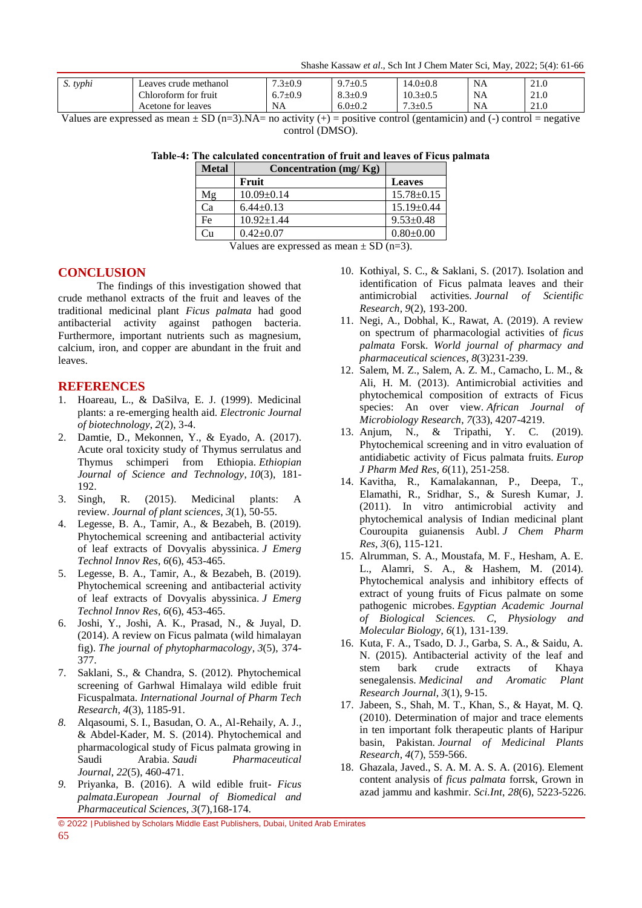Shashe Kassaw *et al*., Sch Int J Chem Mater Sci, May, 2022; 5(4): 61-66

| S. typhi | Leaves crude methanol | $7.3 \pm 0.9$ | $9.7 \pm 0.5$             | $14.0 \pm 0.8$ | <b>NA</b> | $^{\sim}$ 1<br>21.0 |
|----------|-----------------------|---------------|---------------------------|----------------|-----------|---------------------|
|          | Chloroform for fruit  | $6.7 \pm 0.9$ | $8.3 \pm 0.9$             | 10.3±0.5       | <b>NA</b> | 210<br>41.U         |
|          | Acetone for leaves    | NA            | 6.0 $\scriptstyle\pm 0.2$ | $7.3 \pm 0.5$  | <b>NA</b> | 210<br>4.0          |

Values are expressed as mean  $\pm$  SD (n=3). NA= no activity (+) = positive control (gentamicin) and (-) control = negative control (DMSO).

|  | Table-4: The calculated concentration of fruit and leaves of Ficus palmata |  |  |  |
|--|----------------------------------------------------------------------------|--|--|--|
|  |                                                                            |  |  |  |

| <b>Metal</b> | Concentration (mg/Kg) |                  |
|--------------|-----------------------|------------------|
|              | Fruit                 | <b>Leaves</b>    |
| Mg           | $10.09 \pm 0.14$      | $15.78 \pm 0.15$ |
| Ca           | $6.44 \pm 0.13$       | $15.19 \pm 0.44$ |
| Fe           | $10.92 \pm 1.44$      | $9.53 \pm 0.48$  |
| Cu           | $0.42+0.07$           | $0.80 + 0.00$    |

Values are expressed as mean  $\pm$  SD (n=3).

# **CONCLUSION**

The findings of this investigation showed that crude methanol extracts of the fruit and leaves of the traditional medicinal plant *Ficus palmata* had good antibacterial activity against pathogen bacteria. Furthermore, important nutrients such as magnesium, calcium, iron, and copper are abundant in the fruit and leaves.

# **REFERENCES**

- 1. Hoareau, L., & DaSilva, E. J. (1999). Medicinal plants: a re-emerging health aid. *Electronic Journal of biotechnology*, *2*(2), 3-4.
- 2. Damtie, D., Mekonnen, Y., & Eyado, A. (2017). Acute oral toxicity study of Thymus serrulatus and Thymus schimperi from Ethiopia. *Ethiopian Journal of Science and Technology*, *10*(3), 181- 192.
- 3. Singh, R. (2015). Medicinal plants: A review. *Journal of plant sciences*, *3*(1), 50-55.
- 4. Legesse, B. A., Tamir, A., & Bezabeh, B. (2019). Phytochemical screening and antibacterial activity of leaf extracts of Dovyalis abyssinica. *J Emerg Technol Innov Res*, *6*(6), 453-465.
- 5. Legesse, B. A., Tamir, A., & Bezabeh, B. (2019). Phytochemical screening and antibacterial activity of leaf extracts of Dovyalis abyssinica. *J Emerg Technol Innov Res*, *6*(6), 453-465.
- 6. Joshi, Y., Joshi, A. K., Prasad, N., & Juyal, D. (2014). A review on Ficus palmata (wild himalayan fig). *The journal of phytopharmacology*, *3*(5), 374- 377.
- 7. Saklani, S., & Chandra, S. (2012). Phytochemical screening of Garhwal Himalaya wild edible fruit Ficuspalmata. *International Journal of Pharm Tech Research*, *4*(3), 1185-91.
- *8.* Alqasoumi, S. I., Basudan, O. A., Al-Rehaily, A. J., & Abdel-Kader, M. S. (2014). Phytochemical and pharmacological study of Ficus palmata growing in Saudi Arabia. *Saudi Pharmaceutical Journal*, *22*(5), 460-471.
- *9.* Priyanka, B. (2016). A wild edible fruit- *Ficus palmata*.*European Journal of Biomedical and Pharmaceutical Sciences, 3*(7),168-174.
- 10. Kothiyal, S. C., & Saklani, S. (2017). Isolation and identification of Ficus palmata leaves and their antimicrobial activities. *Journal of Scientific Research*, *9*(2), 193-200.
- 11. Negi, A., Dobhal, K., Rawat, A. (2019). A review on spectrum of pharmacologial activities of *ficus palmata* Forsk. *World journal of pharmacy and pharmaceutical sciences*, *8*(3)231-239.
- 12. Salem, M. Z., Salem, A. Z. M., Camacho, L. M., & Ali, H. M. (2013). Antimicrobial activities and phytochemical composition of extracts of Ficus species: An over view. *African Journal of Microbiology Research*, *7*(33), 4207-4219.
- 13. Anjum, N., & Tripathi, Y. C. (2019). Phytochemical screening and in vitro evaluation of antidiabetic activity of Ficus palmata fruits. *Europ J Pharm Med Res*, *6*(11), 251-258.
- 14. Kavitha, R., Kamalakannan, P., Deepa, T., Elamathi, R., Sridhar, S., & Suresh Kumar, J. (2011). In vitro antimicrobial activity and phytochemical analysis of Indian medicinal plant Couroupita guianensis Aubl. *J Chem Pharm Res*, *3*(6), 115-121.
- 15. Alrumman, S. A., Moustafa, M. F., Hesham, A. E. L., Alamri, S. A., & Hashem, M. (2014). Phytochemical analysis and inhibitory effects of extract of young fruits of Ficus palmate on some pathogenic microbes. *Egyptian Academic Journal of Biological Sciences. C, Physiology and Molecular Biology*, *6*(1), 131-139.
- 16. Kuta, F. A., Tsado, D. J., Garba, S. A., & Saidu, A. N. (2015). Antibacterial activity of the leaf and stem bark crude extracts of Khaya senegalensis. *Medicinal and Aromatic Plant Research Journal*, *3*(1), 9-15.
- 17. Jabeen, S., Shah, M. T., Khan, S., & Hayat, M. Q. (2010). Determination of major and trace elements in ten important folk therapeutic plants of Haripur basin, Pakistan. *Journal of Medicinal Plants Research*, *4*(7), 559-566.
- 18. Ghazala, Javed., S. A. M. A. S. A. (2016). Element content analysis of *ficus palmata* forrsk, Grown in azad jammu and kashmir. *Sci.Int*, *28*(6), 5223-5226.

© 2022 |Published by Scholars Middle East Publishers, Dubai, United Arab Emirates